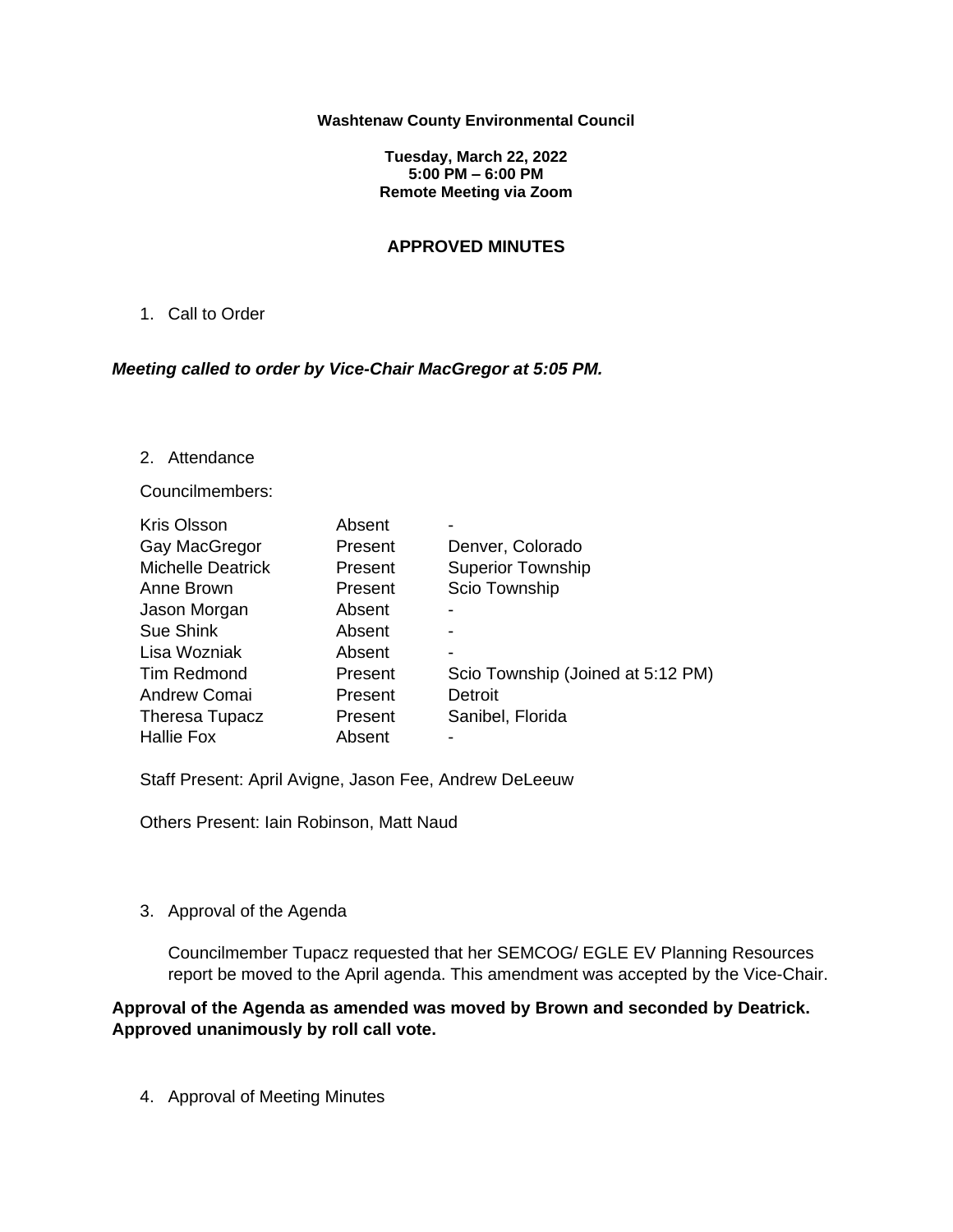#### **Washtenaw County Environmental Council**

**Tuesday, March 22, 2022 5:00 PM – 6:00 PM Remote Meeting via Zoom**

### **APPROVED MINUTES**

1. Call to Order

### *Meeting called to order by Vice-Chair MacGregor at 5:05 PM.*

2. Attendance

Councilmembers:

| <b>Kris Olsson</b>       | Absent  |                                   |
|--------------------------|---------|-----------------------------------|
| Gay MacGregor            | Present | Denver, Colorado                  |
| <b>Michelle Deatrick</b> | Present | <b>Superior Township</b>          |
| Anne Brown               | Present | Scio Township                     |
| Jason Morgan             | Absent  | -                                 |
| Sue Shink                | Absent  |                                   |
| Lisa Wozniak             | Absent  | -                                 |
| <b>Tim Redmond</b>       | Present | Scio Township (Joined at 5:12 PM) |
| Andrew Comai             | Present | Detroit                           |
| Theresa Tupacz           | Present | Sanibel, Florida                  |
| <b>Hallie Fox</b>        | Absent  |                                   |

Staff Present: April Avigne, Jason Fee, Andrew DeLeeuw

Others Present: Iain Robinson, Matt Naud

## 3. Approval of the Agenda

Councilmember Tupacz requested that her SEMCOG/ EGLE EV Planning Resources report be moved to the April agenda. This amendment was accepted by the Vice-Chair.

**Approval of the Agenda as amended was moved by Brown and seconded by Deatrick. Approved unanimously by roll call vote.**

4. Approval of Meeting Minutes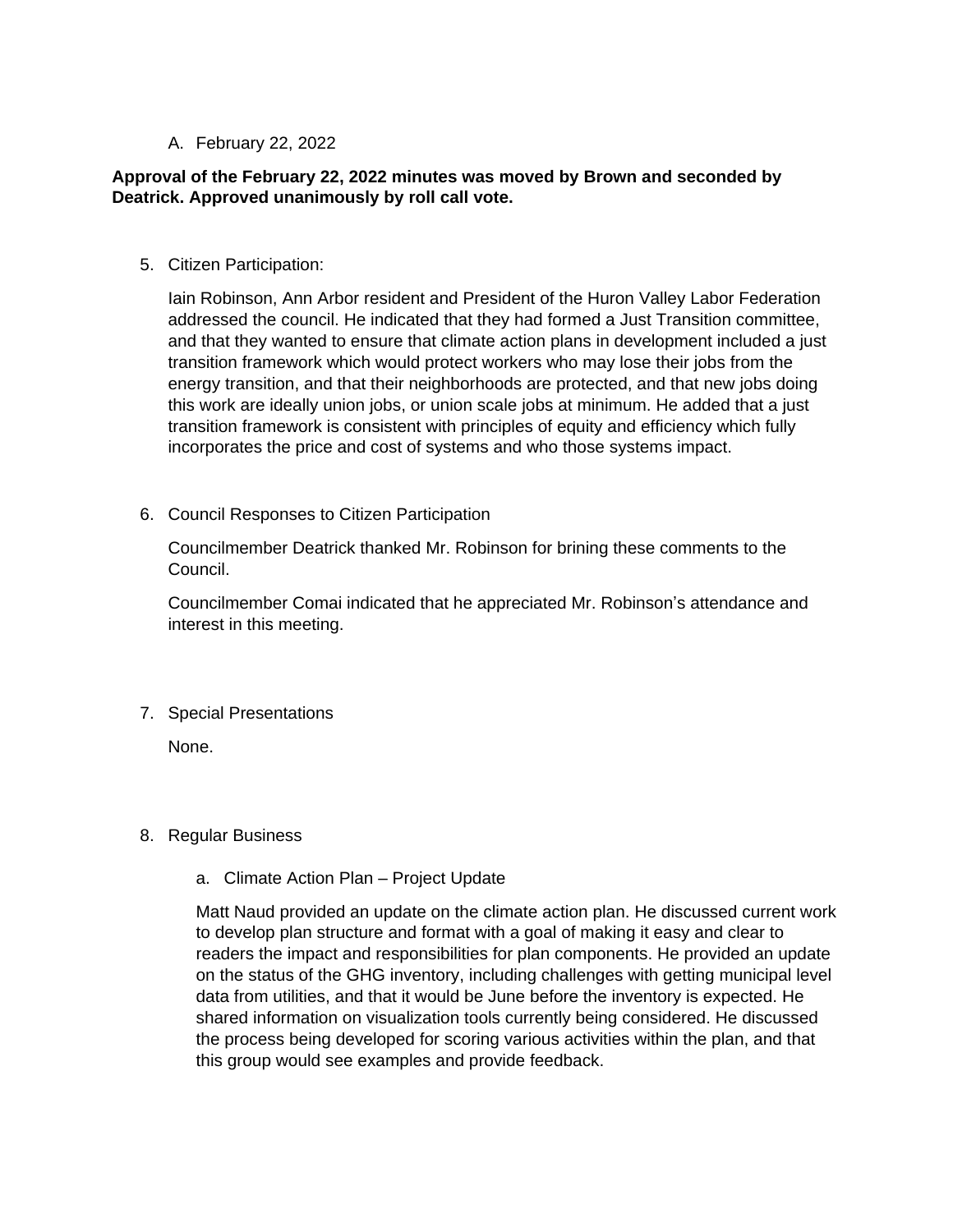## A. February 22, 2022

# **Approval of the February 22, 2022 minutes was moved by Brown and seconded by Deatrick. Approved unanimously by roll call vote.**

5. Citizen Participation:

Iain Robinson, Ann Arbor resident and President of the Huron Valley Labor Federation addressed the council. He indicated that they had formed a Just Transition committee, and that they wanted to ensure that climate action plans in development included a just transition framework which would protect workers who may lose their jobs from the energy transition, and that their neighborhoods are protected, and that new jobs doing this work are ideally union jobs, or union scale jobs at minimum. He added that a just transition framework is consistent with principles of equity and efficiency which fully incorporates the price and cost of systems and who those systems impact.

6. Council Responses to Citizen Participation

Councilmember Deatrick thanked Mr. Robinson for brining these comments to the Council.

Councilmember Comai indicated that he appreciated Mr. Robinson's attendance and interest in this meeting.

7. Special Presentations

None.

### 8. Regular Business

a. Climate Action Plan – Project Update

Matt Naud provided an update on the climate action plan. He discussed current work to develop plan structure and format with a goal of making it easy and clear to readers the impact and responsibilities for plan components. He provided an update on the status of the GHG inventory, including challenges with getting municipal level data from utilities, and that it would be June before the inventory is expected. He shared information on visualization tools currently being considered. He discussed the process being developed for scoring various activities within the plan, and that this group would see examples and provide feedback.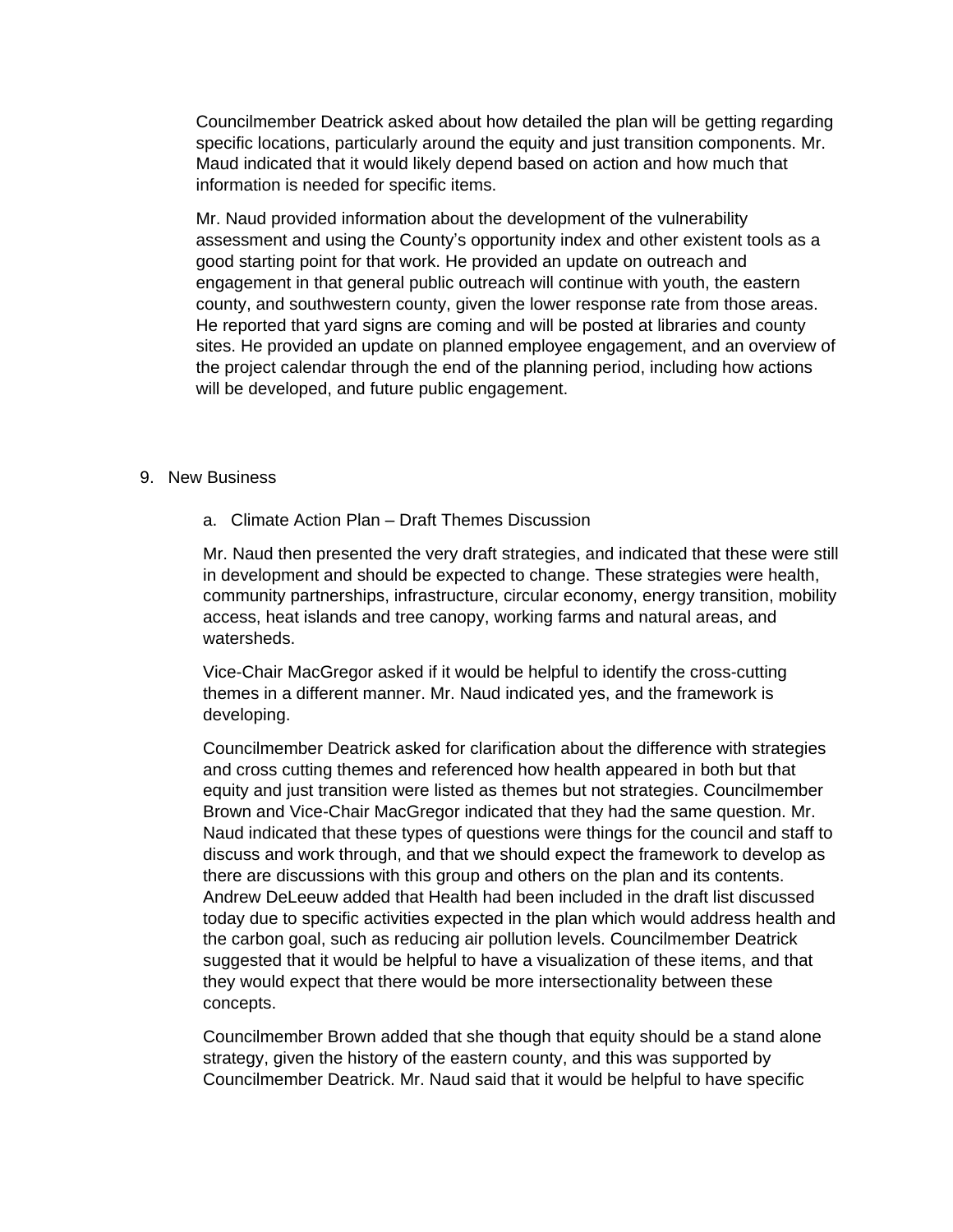Councilmember Deatrick asked about how detailed the plan will be getting regarding specific locations, particularly around the equity and just transition components. Mr. Maud indicated that it would likely depend based on action and how much that information is needed for specific items.

Mr. Naud provided information about the development of the vulnerability assessment and using the County's opportunity index and other existent tools as a good starting point for that work. He provided an update on outreach and engagement in that general public outreach will continue with youth, the eastern county, and southwestern county, given the lower response rate from those areas. He reported that yard signs are coming and will be posted at libraries and county sites. He provided an update on planned employee engagement, and an overview of the project calendar through the end of the planning period, including how actions will be developed, and future public engagement.

### 9. New Business

a. Climate Action Plan – Draft Themes Discussion

Mr. Naud then presented the very draft strategies, and indicated that these were still in development and should be expected to change. These strategies were health, community partnerships, infrastructure, circular economy, energy transition, mobility access, heat islands and tree canopy, working farms and natural areas, and watersheds.

Vice-Chair MacGregor asked if it would be helpful to identify the cross-cutting themes in a different manner. Mr. Naud indicated yes, and the framework is developing.

Councilmember Deatrick asked for clarification about the difference with strategies and cross cutting themes and referenced how health appeared in both but that equity and just transition were listed as themes but not strategies. Councilmember Brown and Vice-Chair MacGregor indicated that they had the same question. Mr. Naud indicated that these types of questions were things for the council and staff to discuss and work through, and that we should expect the framework to develop as there are discussions with this group and others on the plan and its contents. Andrew DeLeeuw added that Health had been included in the draft list discussed today due to specific activities expected in the plan which would address health and the carbon goal, such as reducing air pollution levels. Councilmember Deatrick suggested that it would be helpful to have a visualization of these items, and that they would expect that there would be more intersectionality between these concepts.

Councilmember Brown added that she though that equity should be a stand alone strategy, given the history of the eastern county, and this was supported by Councilmember Deatrick. Mr. Naud said that it would be helpful to have specific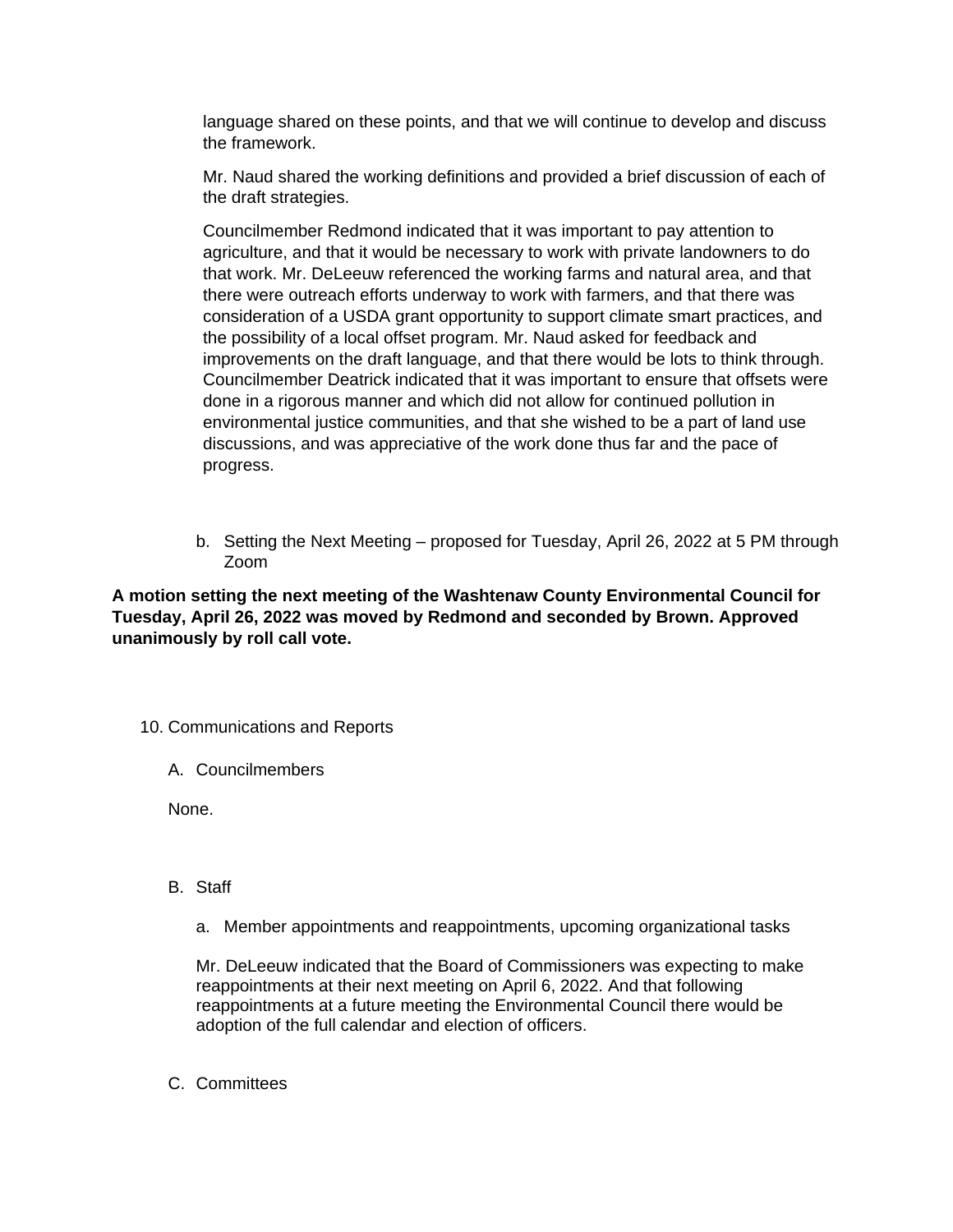language shared on these points, and that we will continue to develop and discuss the framework.

Mr. Naud shared the working definitions and provided a brief discussion of each of the draft strategies.

Councilmember Redmond indicated that it was important to pay attention to agriculture, and that it would be necessary to work with private landowners to do that work. Mr. DeLeeuw referenced the working farms and natural area, and that there were outreach efforts underway to work with farmers, and that there was consideration of a USDA grant opportunity to support climate smart practices, and the possibility of a local offset program. Mr. Naud asked for feedback and improvements on the draft language, and that there would be lots to think through. Councilmember Deatrick indicated that it was important to ensure that offsets were done in a rigorous manner and which did not allow for continued pollution in environmental justice communities, and that she wished to be a part of land use discussions, and was appreciative of the work done thus far and the pace of progress.

b. Setting the Next Meeting – proposed for Tuesday, April 26, 2022 at 5 PM through Zoom

**A motion setting the next meeting of the Washtenaw County Environmental Council for Tuesday, April 26, 2022 was moved by Redmond and seconded by Brown. Approved unanimously by roll call vote.** 

- 10. Communications and Reports
	- A. Councilmembers

None.

- B. Staff
	- a. Member appointments and reappointments, upcoming organizational tasks

Mr. DeLeeuw indicated that the Board of Commissioners was expecting to make reappointments at their next meeting on April 6, 2022. And that following reappointments at a future meeting the Environmental Council there would be adoption of the full calendar and election of officers.

C. Committees